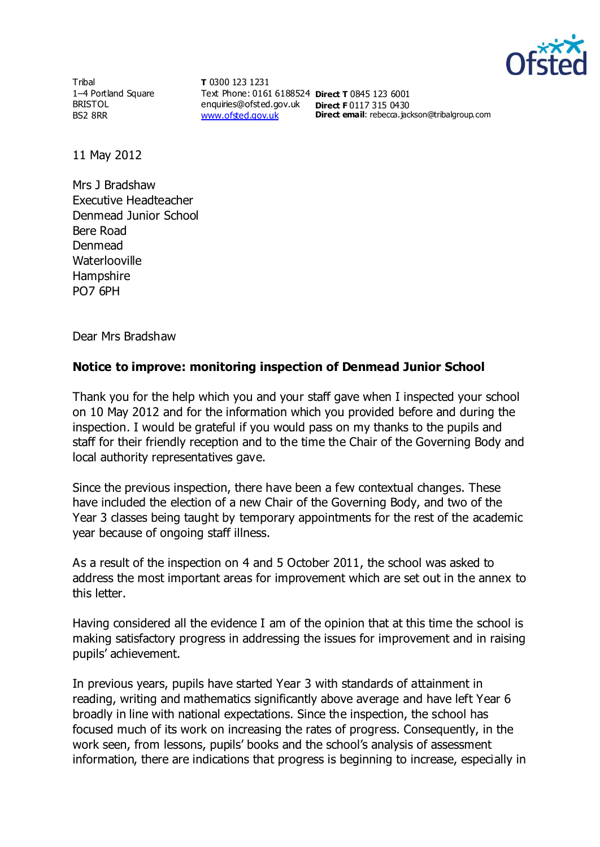

**Tribal** 1–4 Portland Square BRISTOL BS2 8RR

**T** 0300 123 1231 Text Phone: 0161 6188524 **Direct T** 0845 123 6001 enquiries@ofsted.gov.uk **Direct F** 0117 315 0430 [www.ofsted.gov.uk](http://www.ofsted.gov.uk/)

**Direct email**: rebecca.jackson@tribalgroup.com

11 May 2012

Mrs J Bradshaw Executive Headteacher Denmead Junior School Bere Road Denmead **Waterlooville** Hampshire PO7 6PH

Dear Mrs Bradshaw

## **Notice to improve: monitoring inspection of Denmead Junior School**

Thank you for the help which you and your staff gave when I inspected your school on 10 May 2012 and for the information which you provided before and during the inspection. I would be grateful if you would pass on my thanks to the pupils and staff for their friendly reception and to the time the Chair of the Governing Body and local authority representatives gave.

Since the previous inspection, there have been a few contextual changes. These have included the election of a new Chair of the Governing Body, and two of the Year 3 classes being taught by temporary appointments for the rest of the academic year because of ongoing staff illness.

As a result of the inspection on 4 and 5 October 2011, the school was asked to address the most important areas for improvement which are set out in the annex to this letter.

Having considered all the evidence I am of the opinion that at this time the school is making satisfactory progress in addressing the issues for improvement and in raising pupils' achievement.

In previous years, pupils have started Year 3 with standards of attainment in reading, writing and mathematics significantly above average and have left Year 6 broadly in line with national expectations. Since the inspection, the school has focused much of its work on increasing the rates of progress. Consequently, in the work seen, from lessons, pupils' books and the school's analysis of assessment information, there are indications that progress is beginning to increase, especially in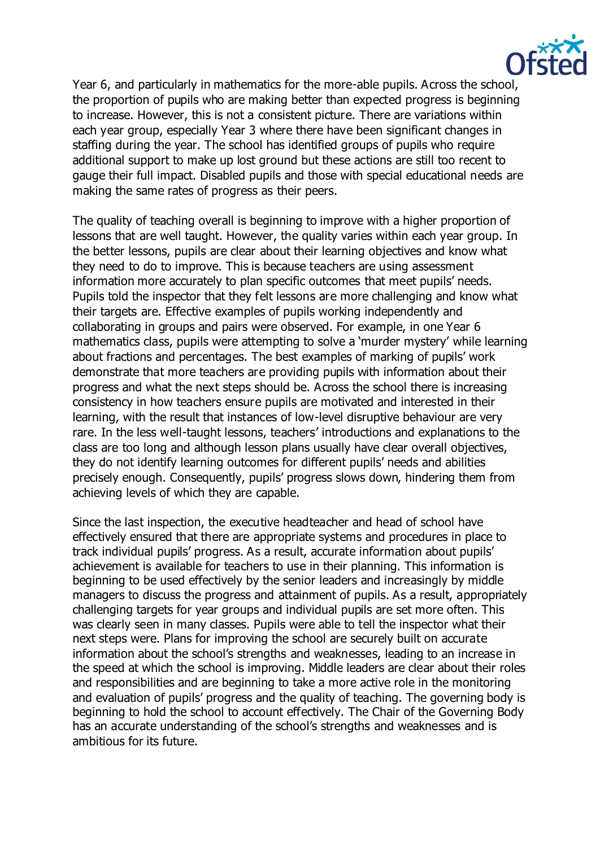

Year 6, and particularly in mathematics for the more-able pupils. Across the school, the proportion of pupils who are making better than expected progress is beginning to increase. However, this is not a consistent picture. There are variations within each year group, especially Year 3 where there have been significant changes in staffing during the year. The school has identified groups of pupils who require additional support to make up lost ground but these actions are still too recent to gauge their full impact. Disabled pupils and those with special educational needs are making the same rates of progress as their peers.

The quality of teaching overall is beginning to improve with a higher proportion of lessons that are well taught. However, the quality varies within each year group. In the better lessons, pupils are clear about their learning objectives and know what they need to do to improve. This is because teachers are using assessment information more accurately to plan specific outcomes that meet pupils' needs. Pupils told the inspector that they felt lessons are more challenging and know what their targets are. Effective examples of pupils working independently and collaborating in groups and pairs were observed. For example, in one Year 6 mathematics class, pupils were attempting to solve a 'murder mystery' while learning about fractions and percentages. The best examples of marking of pupils' work demonstrate that more teachers are providing pupils with information about their progress and what the next steps should be. Across the school there is increasing consistency in how teachers ensure pupils are motivated and interested in their learning, with the result that instances of low-level disruptive behaviour are very rare. In the less well-taught lessons, teachers' introductions and explanations to the class are too long and although lesson plans usually have clear overall objectives, they do not identify learning outcomes for different pupils' needs and abilities precisely enough. Consequently, pupils' progress slows down, hindering them from achieving levels of which they are capable.

Since the last inspection, the executive headteacher and head of school have effectively ensured that there are appropriate systems and procedures in place to track individual pupils' progress. As a result, accurate information about pupils' achievement is available for teachers to use in their planning. This information is beginning to be used effectively by the senior leaders and increasingly by middle managers to discuss the progress and attainment of pupils. As a result, appropriately challenging targets for year groups and individual pupils are set more often. This was clearly seen in many classes. Pupils were able to tell the inspector what their next steps were. Plans for improving the school are securely built on accurate information about the school's strengths and weaknesses, leading to an increase in the speed at which the school is improving. Middle leaders are clear about their roles and responsibilities and are beginning to take a more active role in the monitoring and evaluation of pupils' progress and the quality of teaching. The governing body is beginning to hold the school to account effectively. The Chair of the Governing Body has an accurate understanding of the school's strengths and weaknesses and is ambitious for its future.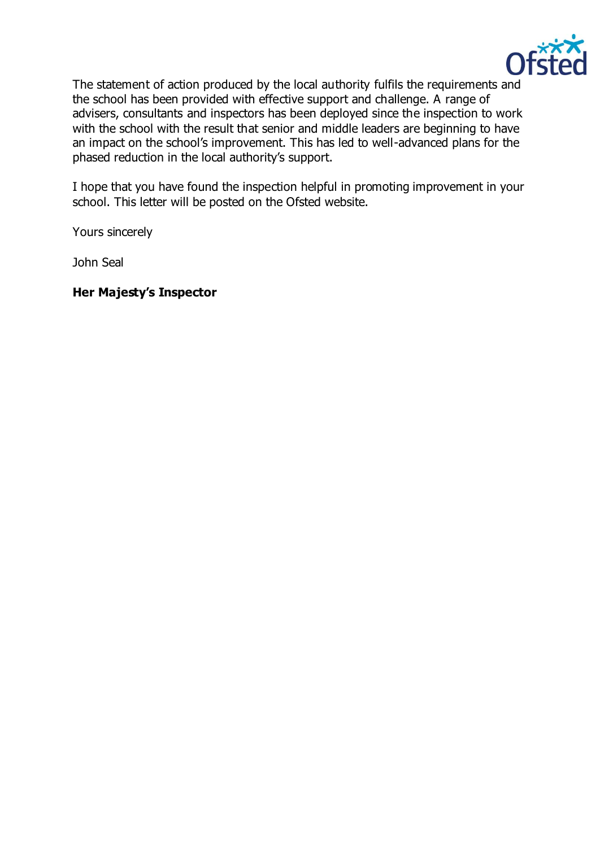

The statement of action produced by the local authority fulfils the requirements and the school has been provided with effective support and challenge. A range of advisers, consultants and inspectors has been deployed since the inspection to work with the school with the result that senior and middle leaders are beginning to have an impact on the school's improvement. This has led to well-advanced plans for the phased reduction in the local authority's support.

I hope that you have found the inspection helpful in promoting improvement in your school. This letter will be posted on the Ofsted website.

Yours sincerely

John Seal

**Her Majesty's Inspector**